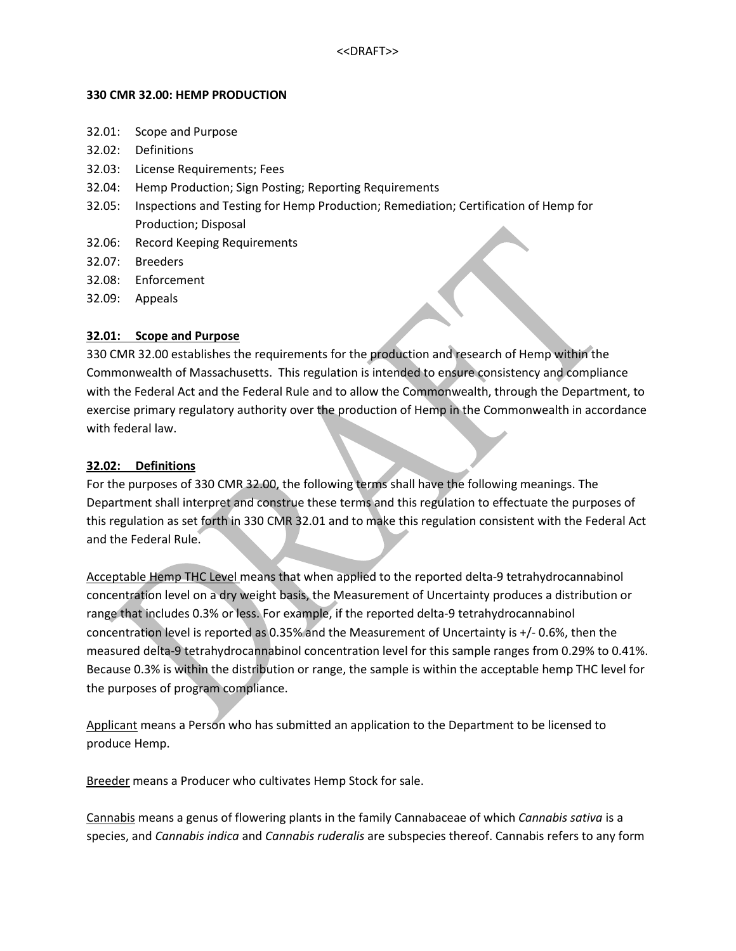#### **330 CMR 32.00: HEMP PRODUCTION**

- 32.01: Scope and Purpose
- 32.02: Definitions
- 32.03: License Requirements; Fees
- 32.04: Hemp Production; Sign Posting; Reporting Requirements
- 32.05: Inspections and Testing for Hemp Production; Remediation; Certification of Hemp for Production; Disposal
- 32.06: Record Keeping Requirements
- 32.07: Breeders
- 32.08: Enforcement
- 32.09: Appeals

#### **32.01: Scope and Purpose**

330 CMR 32.00 establishes the requirements for the production and research of Hemp within the Commonwealth of Massachusetts. This regulation is intended to ensure consistency and compliance with the Federal Act and the Federal Rule and to allow the Commonwealth, through the Department, to exercise primary regulatory authority over the production of Hemp in the Commonwealth in accordance with federal law.

#### **32.02: Definitions**

For the purposes of 330 CMR 32.00, the following terms shall have the following meanings. The Department shall interpret and construe these terms and this regulation to effectuate the purposes of this regulation as set forth in 330 CMR 32.01 and to make this regulation consistent with the Federal Act and the Federal Rule.

Acceptable Hemp THC Level means that when applied to the reported delta-9 tetrahydrocannabinol concentration level on a dry weight basis, the Measurement of Uncertainty produces a distribution or range that includes 0.3% or less. For example, if the reported delta-9 tetrahydrocannabinol concentration level is reported as 0.35% and the Measurement of Uncertainty is +/- 0.6%, then the measured delta-9 tetrahydrocannabinol concentration level for this sample ranges from 0.29% to 0.41%. Because 0.3% is within the distribution or range, the sample is within the acceptable hemp THC level for the purposes of program compliance.

Applicant means a Person who has submitted an application to the Department to be licensed to produce Hemp.

Breeder means a Producer who cultivates Hemp Stock for sale.

Cannabis means a genus of flowering plants in the family Cannabaceae of which *Cannabis sativa* is a species, and *Cannabis indica* and *Cannabis ruderalis* are subspecies thereof. Cannabis refers to any form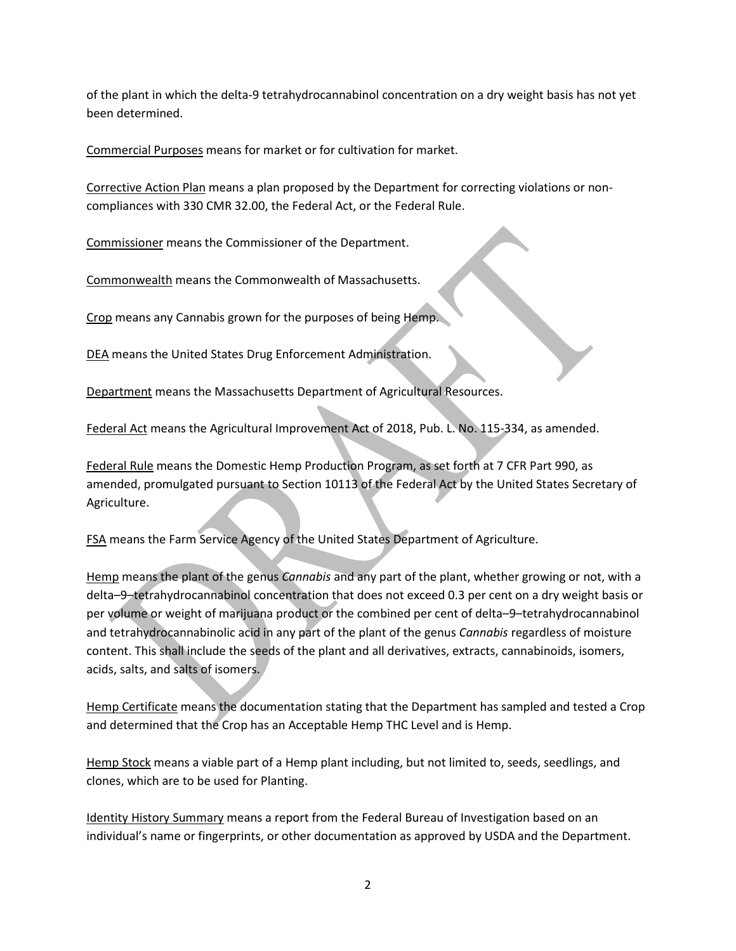of the plant in which the delta-9 tetrahydrocannabinol concentration on a dry weight basis has not yet been determined.

Commercial Purposes means for market or for cultivation for market.

Corrective Action Plan means a plan proposed by the Department for correcting violations or noncompliances with 330 CMR 32.00, the Federal Act, or the Federal Rule.

Commissioner means the Commissioner of the Department.

Commonwealth means the Commonwealth of Massachusetts.

Crop means any Cannabis grown for the purposes of being Hemp.

DEA means the United States Drug Enforcement Administration.

Department means the Massachusetts Department of Agricultural Resources.

Federal Act means the Agricultural Improvement Act of 2018, Pub. L. No. 115-334, as amended.

Federal Rule means the Domestic Hemp Production Program, as set forth at 7 CFR Part 990, as amended, promulgated pursuant to Section 10113 of the Federal Act by the United States Secretary of Agriculture.

FSA means the Farm Service Agency of the United States Department of Agriculture.

Hemp means the plant of the genus *Cannabis* and any part of the plant, whether growing or not, with a delta–9–tetrahydrocannabinol concentration that does not exceed 0.3 per cent on a dry weight basis or per volume or weight of marijuana product or the combined per cent of delta–9–tetrahydrocannabinol and tetrahydrocannabinolic acid in any part of the plant of the genus *Cannabis* regardless of moisture content. This shall include the seeds of the plant and all derivatives, extracts, cannabinoids, isomers, acids, salts, and salts of isomers.

Hemp Certificate means the documentation stating that the Department has sampled and tested a Crop and determined that the Crop has an Acceptable Hemp THC Level and is Hemp.

Hemp Stock means a viable part of a Hemp plant including, but not limited to, seeds, seedlings, and clones, which are to be used for Planting.

Identity History Summary means a report from the Federal Bureau of Investigation based on an individual's name or fingerprints, or other documentation as approved by USDA and the Department.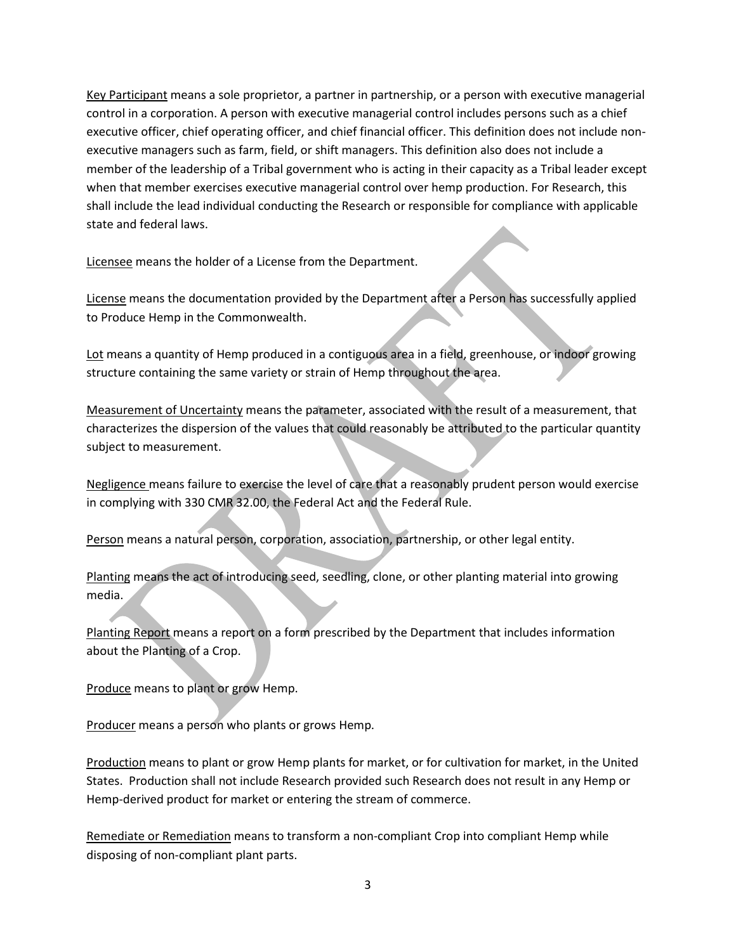Key Participant means a sole proprietor, a partner in partnership, or a person with executive managerial control in a corporation. A person with executive managerial control includes persons such as a chief executive officer, chief operating officer, and chief financial officer. This definition does not include nonexecutive managers such as farm, field, or shift managers. This definition also does not include a member of the leadership of a Tribal government who is acting in their capacity as a Tribal leader except when that member exercises executive managerial control over hemp production. For Research, this shall include the lead individual conducting the Research or responsible for compliance with applicable state and federal laws.

Licensee means the holder of a License from the Department.

License means the documentation provided by the Department after a Person has successfully applied to Produce Hemp in the Commonwealth.

Lot means a quantity of Hemp produced in a contiguous area in a field, greenhouse, or indoor growing structure containing the same variety or strain of Hemp throughout the area.

Measurement of Uncertainty means the parameter, associated with the result of a measurement, that characterizes the dispersion of the values that could reasonably be attributed to the particular quantity subject to measurement.

Negligence means failure to exercise the level of care that a reasonably prudent person would exercise in complying with 330 CMR 32.00, the Federal Act and the Federal Rule.

Person means a natural person, corporation, association, partnership, or other legal entity.

Planting means the act of introducing seed, seedling, clone, or other planting material into growing media.

Planting Report means a report on a form prescribed by the Department that includes information about the Planting of a Crop.

Produce means to plant or grow Hemp.

Producer means a person who plants or grows Hemp.

Production means to plant or grow Hemp plants for market, or for cultivation for market, in the United States. Production shall not include Research provided such Research does not result in any Hemp or Hemp-derived product for market or entering the stream of commerce.

Remediate or Remediation means to transform a non-compliant Crop into compliant Hemp while disposing of non-compliant plant parts.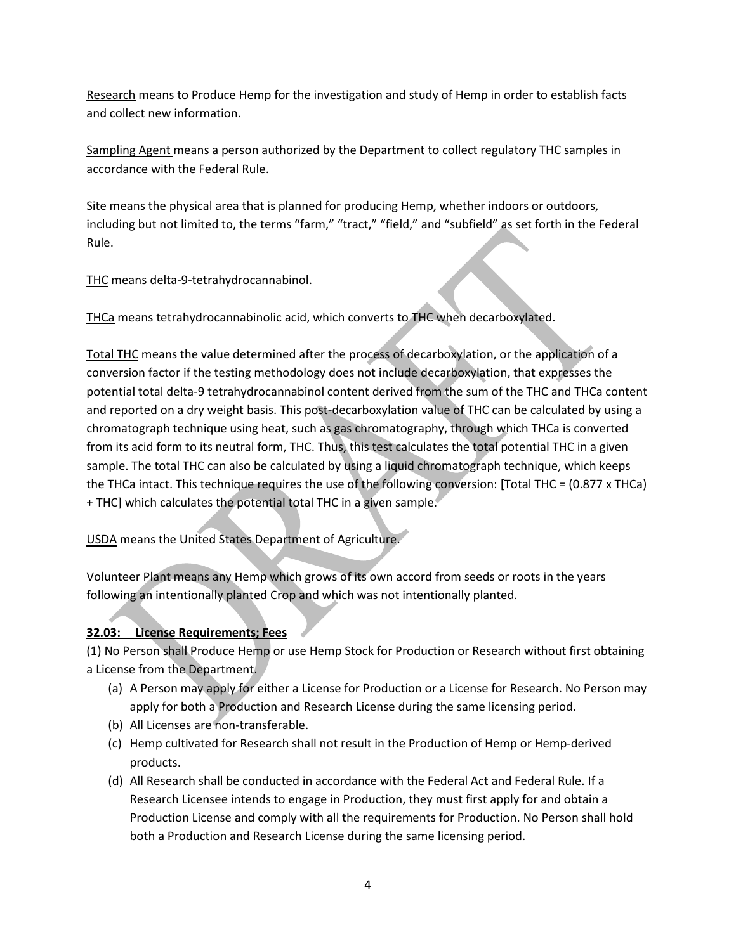Research means to Produce Hemp for the investigation and study of Hemp in order to establish facts and collect new information.

Sampling Agent means a person authorized by the Department to collect regulatory THC samples in accordance with the Federal Rule.

Site means the physical area that is planned for producing Hemp, whether indoors or outdoors, including but not limited to, the terms "farm," "tract," "field," and "subfield" as set forth in the Federal Rule.

THC means delta-9-tetrahydrocannabinol.

THCa means tetrahydrocannabinolic acid, which converts to THC when decarboxylated.

Total THC means the value determined after the process of decarboxylation, or the application of a conversion factor if the testing methodology does not include decarboxylation, that expresses the potential total delta-9 tetrahydrocannabinol content derived from the sum of the THC and THCa content and reported on a dry weight basis. This post-decarboxylation value of THC can be calculated by using a chromatograph technique using heat, such as gas chromatography, through which THCa is converted from its acid form to its neutral form, THC. Thus, this test calculates the total potential THC in a given sample. The total THC can also be calculated by using a liquid chromatograph technique, which keeps the THCa intact. This technique requires the use of the following conversion: [Total THC = (0.877 x THCa) + THC] which calculates the potential total THC in a given sample.

USDA means the United States Department of Agriculture.

Volunteer Plant means any Hemp which grows of its own accord from seeds or roots in the years following an intentionally planted Crop and which was not intentionally planted.

# **32.03: License Requirements; Fees**

(1) No Person shall Produce Hemp or use Hemp Stock for Production or Research without first obtaining a License from the Department.

- (a) A Person may apply for either a License for Production or a License for Research. No Person may apply for both a Production and Research License during the same licensing period.
- (b) All Licenses are non-transferable.
- (c) Hemp cultivated for Research shall not result in the Production of Hemp or Hemp-derived products.
- (d) All Research shall be conducted in accordance with the Federal Act and Federal Rule. If a Research Licensee intends to engage in Production, they must first apply for and obtain a Production License and comply with all the requirements for Production. No Person shall hold both a Production and Research License during the same licensing period.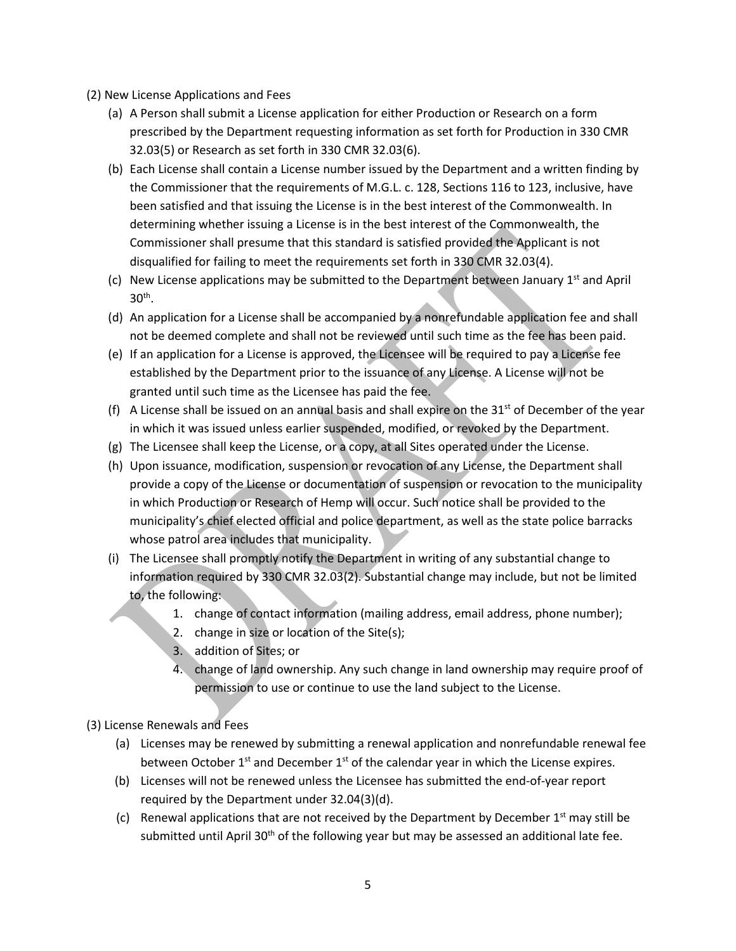- (2) New License Applications and Fees
	- (a) A Person shall submit a License application for either Production or Research on a form prescribed by the Department requesting information as set forth for Production in 330 CMR 32.03(5) or Research as set forth in 330 CMR 32.03(6).
	- (b) Each License shall contain a License number issued by the Department and a written finding by the Commissioner that the requirements of M.G.L. c. 128, Sections 116 to 123, inclusive, have been satisfied and that issuing the License is in the best interest of the Commonwealth. In determining whether issuing a License is in the best interest of the Commonwealth, the Commissioner shall presume that this standard is satisfied provided the Applicant is not disqualified for failing to meet the requirements set forth in 330 CMR 32.03(4).
	- (c) New License applications may be submitted to the Department between January  $1<sup>st</sup>$  and April  $30<sup>th</sup>$ .
	- (d) An application for a License shall be accompanied by a nonrefundable application fee and shall not be deemed complete and shall not be reviewed until such time as the fee has been paid.
	- (e) If an application for a License is approved, the Licensee will be required to pay a License fee established by the Department prior to the issuance of any License. A License will not be granted until such time as the Licensee has paid the fee.
	- (f) A License shall be issued on an annual basis and shall expire on the  $31^{st}$  of December of the year in which it was issued unless earlier suspended, modified, or revoked by the Department.
	- (g) The Licensee shall keep the License, or a copy, at all Sites operated under the License.
	- (h) Upon issuance, modification, suspension or revocation of any License, the Department shall provide a copy of the License or documentation of suspension or revocation to the municipality in which Production or Research of Hemp will occur. Such notice shall be provided to the municipality's chief elected official and police department, as well as the state police barracks whose patrol area includes that municipality.
	- (i) The Licensee shall promptly notify the Department in writing of any substantial change to information required by 330 CMR 32.03(2). Substantial change may include, but not be limited to, the following:
		- 1. change of contact information (mailing address, email address, phone number);
		- 2. change in size or location of the Site(s);
		- 3. addition of Sites; or
		- 4. change of land ownership. Any such change in land ownership may require proof of permission to use or continue to use the land subject to the License.

(3) License Renewals and Fees

- (a) Licenses may be renewed by submitting a renewal application and nonrefundable renewal fee between October  $1<sup>st</sup>$  and December  $1<sup>st</sup>$  of the calendar year in which the License expires.
- (b) Licenses will not be renewed unless the Licensee has submitted the end-of-year report required by the Department under 32.04(3)(d).
- (c) Renewal applications that are not received by the Department by December  $1<sup>st</sup>$  may still be submitted until April 30<sup>th</sup> of the following year but may be assessed an additional late fee.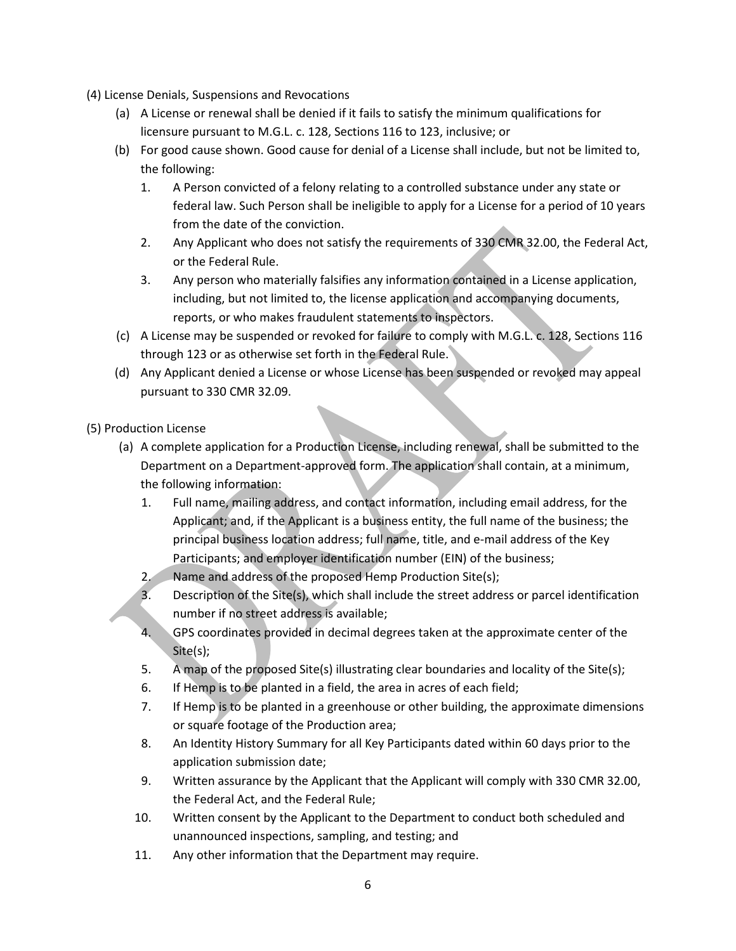(4) License Denials, Suspensions and Revocations

- (a) A License or renewal shall be denied if it fails to satisfy the minimum qualifications for licensure pursuant to M.G.L. c. 128, Sections 116 to 123, inclusive; or
- (b) For good cause shown. Good cause for denial of a License shall include, but not be limited to, the following:
	- 1. A Person convicted of a felony relating to a controlled substance under any state or federal law. Such Person shall be ineligible to apply for a License for a period of 10 years from the date of the conviction.
	- 2. Any Applicant who does not satisfy the requirements of 330 CMR 32.00, the Federal Act, or the Federal Rule.
	- 3. Any person who materially falsifies any information contained in a License application, including, but not limited to, the license application and accompanying documents, reports, or who makes fraudulent statements to inspectors.
- (c) A License may be suspended or revoked for failure to comply with M.G.L. c. 128, Sections 116 through 123 or as otherwise set forth in the Federal Rule.
- (d) Any Applicant denied a License or whose License has been suspended or revoked may appeal pursuant to 330 CMR 32.09.

## (5) Production License

- (a) A complete application for a Production License, including renewal, shall be submitted to the Department on a Department-approved form. The application shall contain, at a minimum, the following information:
	- 1. Full name, mailing address, and contact information, including email address, for the Applicant; and, if the Applicant is a business entity, the full name of the business; the principal business location address; full name, title, and e-mail address of the Key Participants; and employer identification number (EIN) of the business;
	- 2. Name and address of the proposed Hemp Production Site(s);
	- 3. Description of the Site(s), which shall include the street address or parcel identification number if no street address is available;
	- 4. GPS coordinates provided in decimal degrees taken at the approximate center of the Site(s);
	- 5. A map of the proposed Site(s) illustrating clear boundaries and locality of the Site(s);
	- 6. If Hemp is to be planted in a field, the area in acres of each field;
	- 7. If Hemp is to be planted in a greenhouse or other building, the approximate dimensions or square footage of the Production area;
	- 8. An Identity History Summary for all Key Participants dated within 60 days prior to the application submission date;
	- 9. Written assurance by the Applicant that the Applicant will comply with 330 CMR 32.00, the Federal Act, and the Federal Rule;
	- 10. Written consent by the Applicant to the Department to conduct both scheduled and unannounced inspections, sampling, and testing; and
	- 11. Any other information that the Department may require.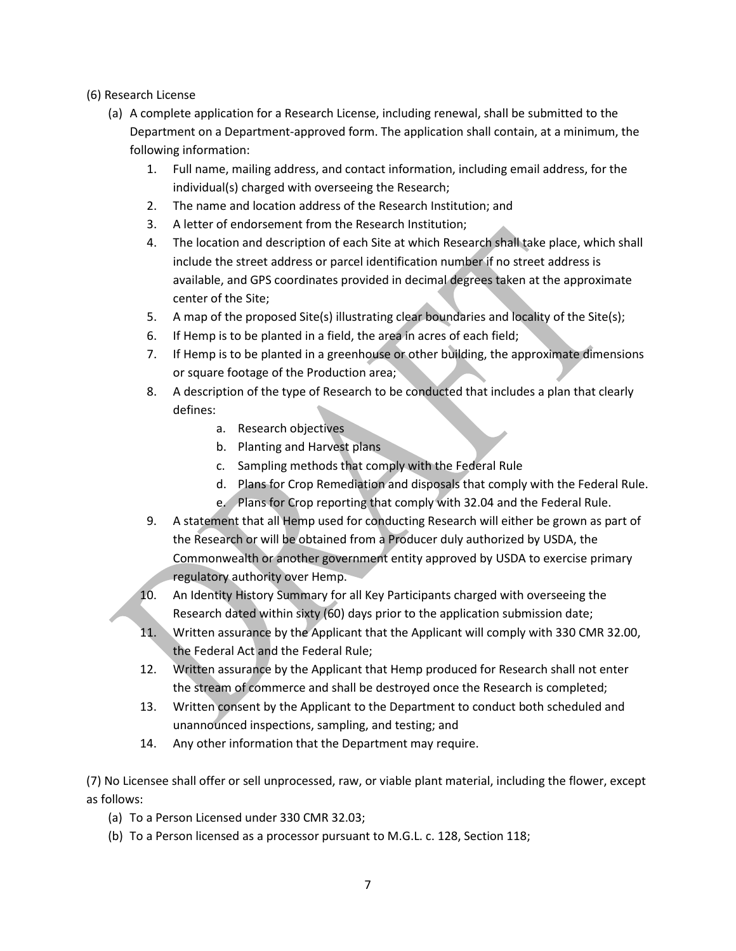### (6) Research License

- (a) A complete application for a Research License, including renewal, shall be submitted to the Department on a Department-approved form. The application shall contain, at a minimum, the following information:
	- 1. Full name, mailing address, and contact information, including email address, for the individual(s) charged with overseeing the Research;
	- 2. The name and location address of the Research Institution; and
	- 3. A letter of endorsement from the Research Institution;
	- 4. The location and description of each Site at which Research shall take place, which shall include the street address or parcel identification number if no street address is available, and GPS coordinates provided in decimal degrees taken at the approximate center of the Site;
	- 5. A map of the proposed Site(s) illustrating clear boundaries and locality of the Site(s);
	- 6. If Hemp is to be planted in a field, the area in acres of each field;
	- 7. If Hemp is to be planted in a greenhouse or other building, the approximate dimensions or square footage of the Production area;
	- 8. A description of the type of Research to be conducted that includes a plan that clearly defines:
		- a. Research objectives
		- b. Planting and Harvest plans
		- c. Sampling methods that comply with the Federal Rule
		- d. Plans for Crop Remediation and disposals that comply with the Federal Rule.
		- e. Plans for Crop reporting that comply with 32.04 and the Federal Rule.
	- 9. A statement that all Hemp used for conducting Research will either be grown as part of the Research or will be obtained from a Producer duly authorized by USDA, the Commonwealth or another government entity approved by USDA to exercise primary regulatory authority over Hemp.
	- 10. An Identity History Summary for all Key Participants charged with overseeing the Research dated within sixty (60) days prior to the application submission date;
	- 11. Written assurance by the Applicant that the Applicant will comply with 330 CMR 32.00, the Federal Act and the Federal Rule;
	- 12. Written assurance by the Applicant that Hemp produced for Research shall not enter the stream of commerce and shall be destroyed once the Research is completed;
	- 13. Written consent by the Applicant to the Department to conduct both scheduled and unannounced inspections, sampling, and testing; and
	- 14. Any other information that the Department may require.

(7) No Licensee shall offer or sell unprocessed, raw, or viable plant material, including the flower, except as follows:

- (a) To a Person Licensed under 330 CMR 32.03;
- (b) To a Person licensed as a processor pursuant to M.G.L. c. 128, Section 118;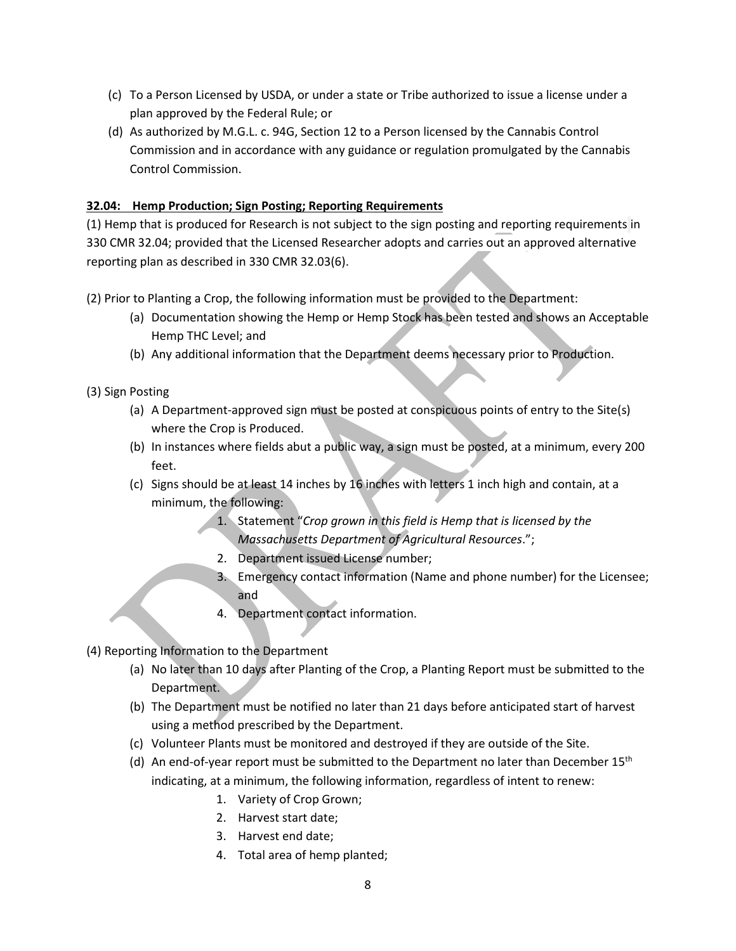- (c) To a Person Licensed by USDA, or under a state or Tribe authorized to issue a license under a plan approved by the Federal Rule; or
- (d) As authorized by M.G.L. c. 94G, Section 12 to a Person licensed by the Cannabis Control Commission and in accordance with any guidance or regulation promulgated by the Cannabis Control Commission.

## **32.04: Hemp Production; Sign Posting; Reporting Requirements**

(1) Hemp that is produced for Research is not subject to the sign posting and reporting requirements in 330 CMR 32.04; provided that the Licensed Researcher adopts and carries out an approved alternative reporting plan as described in 330 CMR 32.03(6).

- (2) Prior to Planting a Crop, the following information must be provided to the Department:
	- (a) Documentation showing the Hemp or Hemp Stock has been tested and shows an Acceptable Hemp THC Level; and
	- (b) Any additional information that the Department deems necessary prior to Production.

(3) Sign Posting

- (a) A Department-approved sign must be posted at conspicuous points of entry to the Site(s) where the Crop is Produced.
- (b) In instances where fields abut a public way, a sign must be posted, at a minimum, every 200 feet.
- (c) Signs should be at least 14 inches by 16 inches with letters 1 inch high and contain, at a minimum, the following:
	- 1. Statement "*Crop grown in this field is Hemp that is licensed by the Massachusetts Department of Agricultural Resources*.";
	- 2. Department issued License number;
	- 3. Emergency contact information (Name and phone number) for the Licensee; and
	- 4. Department contact information.

(4) Reporting Information to the Department

- (a) No later than 10 days after Planting of the Crop, a Planting Report must be submitted to the Department.
- (b) The Department must be notified no later than 21 days before anticipated start of harvest using a method prescribed by the Department.
- (c) Volunteer Plants must be monitored and destroyed if they are outside of the Site.
- (d) An end-of-year report must be submitted to the Department no later than December  $15<sup>th</sup>$ indicating, at a minimum, the following information, regardless of intent to renew:
	- 1. Variety of Crop Grown;
	- 2. Harvest start date;
	- 3. Harvest end date;
	- 4. Total area of hemp planted;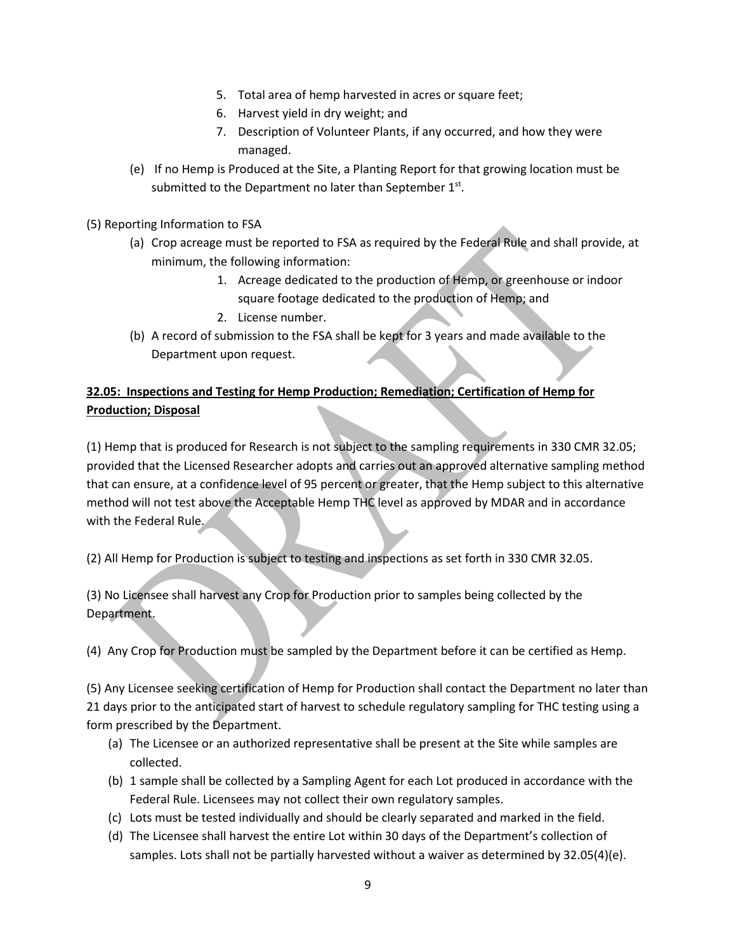- 5. Total area of hemp harvested in acres or square feet;
- 6. Harvest yield in dry weight; and
- 7. Description of Volunteer Plants, if any occurred, and how they were managed.
- (e) If no Hemp is Produced at the Site, a Planting Report for that growing location must be submitted to the Department no later than September  $1<sup>st</sup>$ .

### (5) Reporting Information to FSA

- (a) Crop acreage must be reported to FSA as required by the Federal Rule and shall provide, at minimum, the following information:
	- 1. Acreage dedicated to the production of Hemp, or greenhouse or indoor square footage dedicated to the production of Hemp; and
	- 2. License number.
- (b) A record of submission to the FSA shall be kept for 3 years and made available to the Department upon request.

# **32.05: Inspections and Testing for Hemp Production; Remediation; Certification of Hemp for Production; Disposal**

(1) Hemp that is produced for Research is not subject to the sampling requirements in 330 CMR 32.05; provided that the Licensed Researcher adopts and carries out an approved alternative sampling method that can ensure, at a confidence level of 95 percent or greater, that the Hemp subject to this alternative method will not test above the Acceptable Hemp THC level as approved by MDAR and in accordance with the Federal Rule.

(2) All Hemp for Production is subject to testing and inspections as set forth in 330 CMR 32.05.

(3) No Licensee shall harvest any Crop for Production prior to samples being collected by the Department.

(4) Any Crop for Production must be sampled by the Department before it can be certified as Hemp.

(5) Any Licensee seeking certification of Hemp for Production shall contact the Department no later than 21 days prior to the anticipated start of harvest to schedule regulatory sampling for THC testing using a form prescribed by the Department.

- (a) The Licensee or an authorized representative shall be present at the Site while samples are collected.
- (b) 1 sample shall be collected by a Sampling Agent for each Lot produced in accordance with the Federal Rule. Licensees may not collect their own regulatory samples.
- (c) Lots must be tested individually and should be clearly separated and marked in the field.
- (d) The Licensee shall harvest the entire Lot within 30 days of the Department's collection of samples. Lots shall not be partially harvested without a waiver as determined by 32.05(4)(e).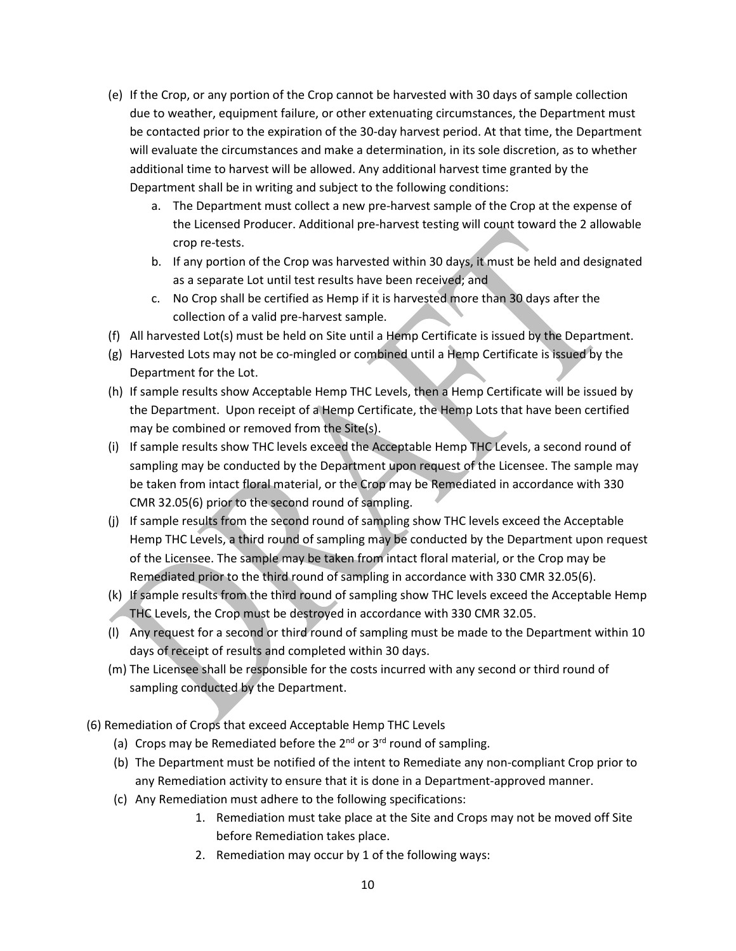- (e) If the Crop, or any portion of the Crop cannot be harvested with 30 days of sample collection due to weather, equipment failure, or other extenuating circumstances, the Department must be contacted prior to the expiration of the 30-day harvest period. At that time, the Department will evaluate the circumstances and make a determination, in its sole discretion, as to whether additional time to harvest will be allowed. Any additional harvest time granted by the Department shall be in writing and subject to the following conditions:
	- a. The Department must collect a new pre-harvest sample of the Crop at the expense of the Licensed Producer. Additional pre-harvest testing will count toward the 2 allowable crop re-tests.
	- b. If any portion of the Crop was harvested within 30 days, it must be held and designated as a separate Lot until test results have been received; and
	- c. No Crop shall be certified as Hemp if it is harvested more than 30 days after the collection of a valid pre-harvest sample.
- (f) All harvested Lot(s) must be held on Site until a Hemp Certificate is issued by the Department.
- (g) Harvested Lots may not be co-mingled or combined until a Hemp Certificate is issued by the Department for the Lot.
- (h) If sample results show Acceptable Hemp THC Levels, then a Hemp Certificate will be issued by the Department. Upon receipt of a Hemp Certificate, the Hemp Lots that have been certified may be combined or removed from the Site(s).
- (i) If sample results show THC levels exceed the Acceptable Hemp THC Levels, a second round of sampling may be conducted by the Department upon request of the Licensee. The sample may be taken from intact floral material, or the Crop may be Remediated in accordance with 330 CMR 32.05(6) prior to the second round of sampling.
- (j) If sample results from the second round of sampling show THC levels exceed the Acceptable Hemp THC Levels, a third round of sampling may be conducted by the Department upon request of the Licensee. The sample may be taken from intact floral material, or the Crop may be Remediated prior to the third round of sampling in accordance with 330 CMR 32.05(6).
- (k) If sample results from the third round of sampling show THC levels exceed the Acceptable Hemp THC Levels, the Crop must be destroyed in accordance with 330 CMR 32.05.
- (l) Any request for a second or third round of sampling must be made to the Department within 10 days of receipt of results and completed within 30 days.
- (m) The Licensee shall be responsible for the costs incurred with any second or third round of sampling conducted by the Department.
- (6) Remediation of Crops that exceed Acceptable Hemp THC Levels
	- (a) Crops may be Remediated before the  $2^{nd}$  or  $3^{rd}$  round of sampling.
	- (b) The Department must be notified of the intent to Remediate any non-compliant Crop prior to any Remediation activity to ensure that it is done in a Department-approved manner.
	- (c) Any Remediation must adhere to the following specifications:
		- 1. Remediation must take place at the Site and Crops may not be moved off Site before Remediation takes place.
		- 2. Remediation may occur by 1 of the following ways: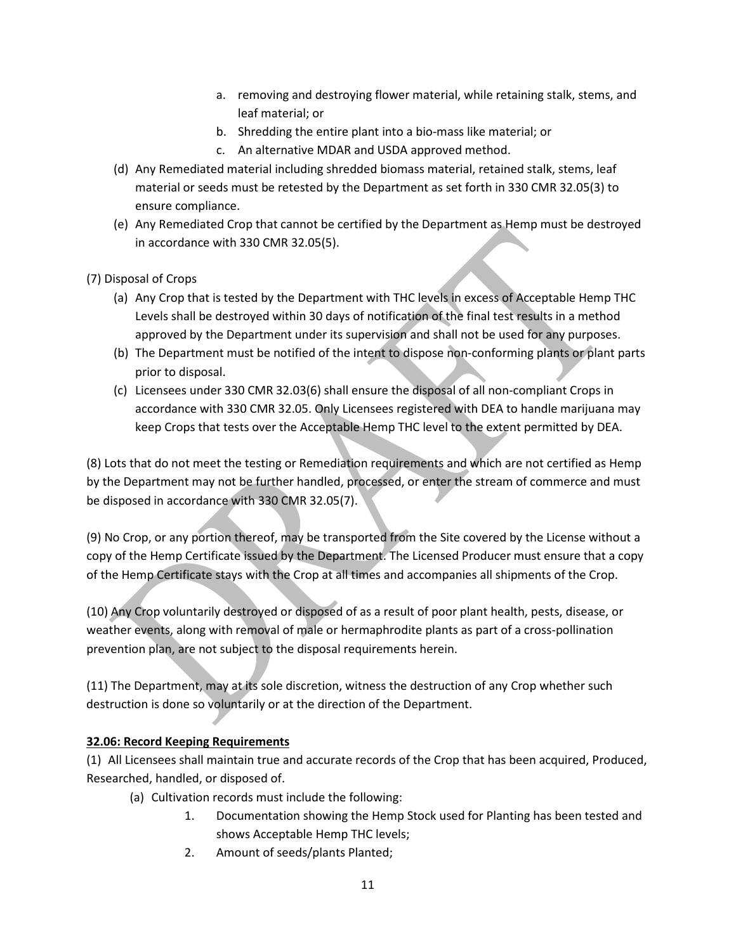- a. removing and destroying flower material, while retaining stalk, stems, and leaf material; or
- b. Shredding the entire plant into a bio-mass like material; or
- c. An alternative MDAR and USDA approved method.
- (d) Any Remediated material including shredded biomass material, retained stalk, stems, leaf material or seeds must be retested by the Department as set forth in 330 CMR 32.05(3) to ensure compliance.
- (e) Any Remediated Crop that cannot be certified by the Department as Hemp must be destroyed in accordance with 330 CMR 32.05(5).

(7) Disposal of Crops

- (a) Any Crop that is tested by the Department with THC levels in excess of Acceptable Hemp THC Levels shall be destroyed within 30 days of notification of the final test results in a method approved by the Department under its supervision and shall not be used for any purposes.
- (b) The Department must be notified of the intent to dispose non-conforming plants or plant parts prior to disposal.
- (c) Licensees under 330 CMR 32.03(6) shall ensure the disposal of all non-compliant Crops in accordance with 330 CMR 32.05. Only Licensees registered with DEA to handle marijuana may keep Crops that tests over the Acceptable Hemp THC level to the extent permitted by DEA.

(8) Lots that do not meet the testing or Remediation requirements and which are not certified as Hemp by the Department may not be further handled, processed, or enter the stream of commerce and must be disposed in accordance with 330 CMR 32.05(7).

(9) No Crop, or any portion thereof, may be transported from the Site covered by the License without a copy of the Hemp Certificate issued by the Department. The Licensed Producer must ensure that a copy of the Hemp Certificate stays with the Crop at all times and accompanies all shipments of the Crop.

(10) Any Crop voluntarily destroyed or disposed of as a result of poor plant health, pests, disease, or weather events, along with removal of male or hermaphrodite plants as part of a cross-pollination prevention plan, are not subject to the disposal requirements herein.

(11) The Department, may at its sole discretion, witness the destruction of any Crop whether such destruction is done so voluntarily or at the direction of the Department.

## **32.06: Record Keeping Requirements**

(1) All Licensees shall maintain true and accurate records of the Crop that has been acquired, Produced, Researched, handled, or disposed of.

- (a) Cultivation records must include the following:
	- 1. Documentation showing the Hemp Stock used for Planting has been tested and shows Acceptable Hemp THC levels;
	- 2. Amount of seeds/plants Planted;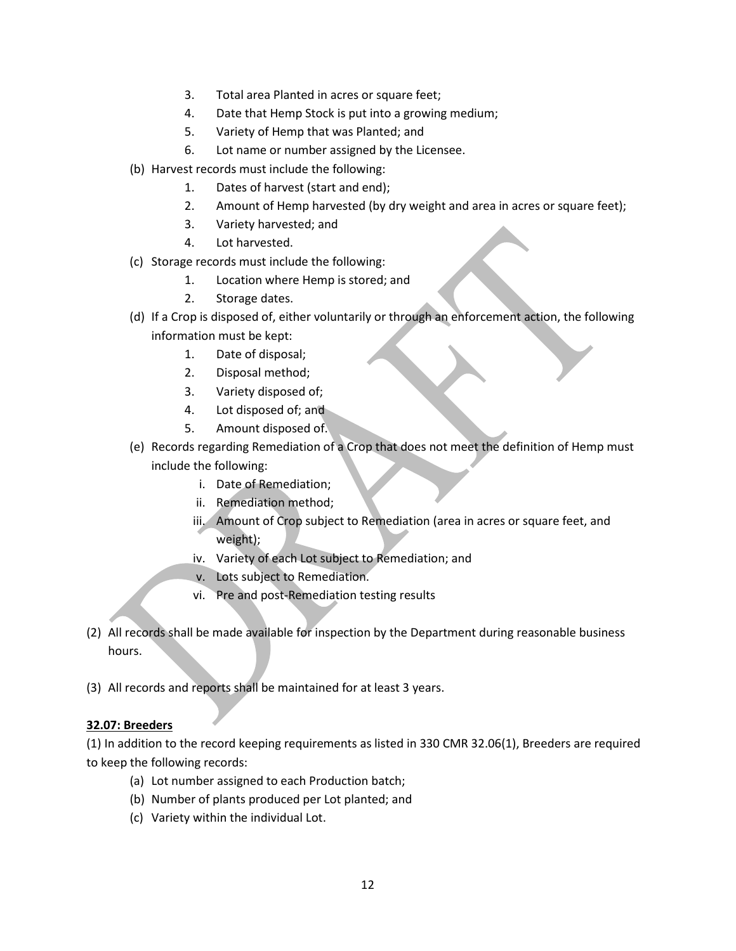- 3. Total area Planted in acres or square feet;
- 4. Date that Hemp Stock is put into a growing medium;
- 5. Variety of Hemp that was Planted; and
- 6. Lot name or number assigned by the Licensee.
- (b) Harvest records must include the following:
	- 1. Dates of harvest (start and end);
	- 2. Amount of Hemp harvested (by dry weight and area in acres or square feet);
	- 3. Variety harvested; and
	- 4. Lot harvested.
- (c) Storage records must include the following:
	- 1. Location where Hemp is stored; and
	- 2. Storage dates.
- (d) If a Crop is disposed of, either voluntarily or through an enforcement action, the following information must be kept:
	- 1. Date of disposal;
	- 2. Disposal method;
	- 3. Variety disposed of;
	- 4. Lot disposed of; and
	- 5. Amount disposed of.
- (e) Records regarding Remediation of a Crop that does not meet the definition of Hemp must include the following:
	- i. Date of Remediation;
	- ii. Remediation method;
	- iii. Amount of Crop subject to Remediation (area in acres or square feet, and weight);
	- iv. Variety of each Lot subject to Remediation; and
	- v. Lots subject to Remediation.
	- vi. Pre and post-Remediation testing results
- (2) All records shall be made available for inspection by the Department during reasonable business hours.
- (3) All records and reports shall be maintained for at least 3 years.

#### **32.07: Breeders**

(1) In addition to the record keeping requirements as listed in 330 CMR 32.06(1), Breeders are required to keep the following records:

- (a) Lot number assigned to each Production batch;
- (b) Number of plants produced per Lot planted; and
- (c) Variety within the individual Lot.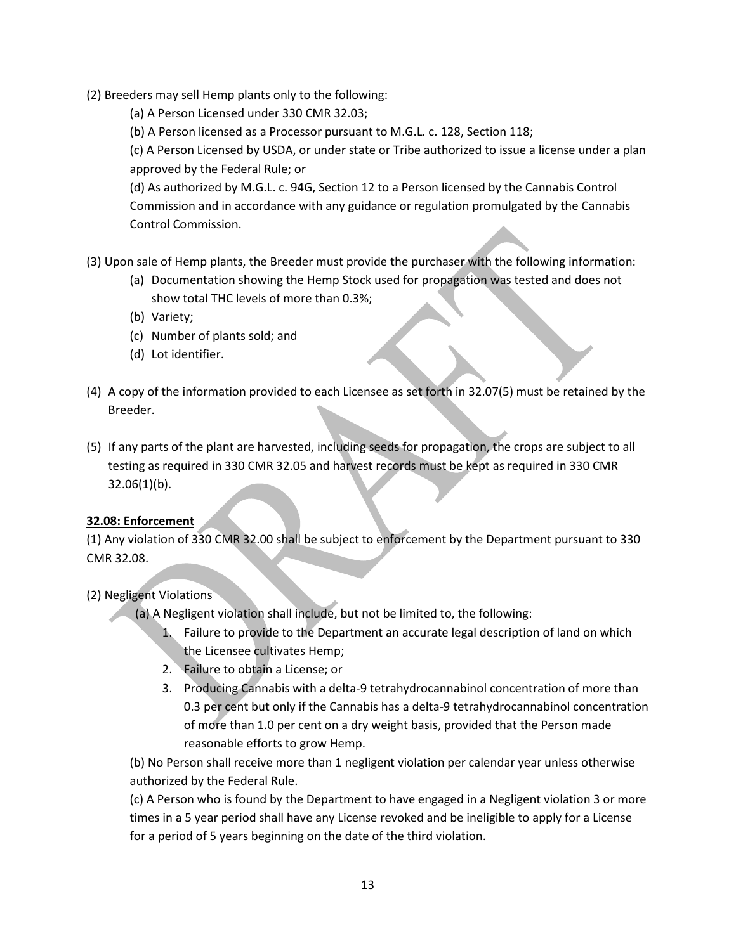(2) Breeders may sell Hemp plants only to the following:

(a) A Person Licensed under 330 CMR 32.03;

(b) A Person licensed as a Processor pursuant to M.G.L. c. 128, Section 118;

(c) A Person Licensed by USDA, or under state or Tribe authorized to issue a license under a plan approved by the Federal Rule; or

(d) As authorized by M.G.L. c. 94G, Section 12 to a Person licensed by the Cannabis Control Commission and in accordance with any guidance or regulation promulgated by the Cannabis Control Commission.

(3) Upon sale of Hemp plants, the Breeder must provide the purchaser with the following information:

- (a) Documentation showing the Hemp Stock used for propagation was tested and does not show total THC levels of more than 0.3%;
- (b) Variety;
- (c) Number of plants sold; and
- (d) Lot identifier.
- (4) A copy of the information provided to each Licensee as set forth in 32.07(5) must be retained by the Breeder.
- (5) If any parts of the plant are harvested, including seeds for propagation, the crops are subject to all testing as required in 330 CMR 32.05 and harvest records must be kept as required in 330 CMR  $32.06(1)(b)$ .

## **32.08: Enforcement**

(1) Any violation of 330 CMR 32.00 shall be subject to enforcement by the Department pursuant to 330 CMR 32.08.

## (2) Negligent Violations

(a) A Negligent violation shall include, but not be limited to, the following:

- 1. Failure to provide to the Department an accurate legal description of land on which the Licensee cultivates Hemp;
- 2. Failure to obtain a License; or
- 3. Producing Cannabis with a delta-9 tetrahydrocannabinol concentration of more than 0.3 per cent but only if the Cannabis has a delta-9 tetrahydrocannabinol concentration of more than 1.0 per cent on a dry weight basis, provided that the Person made reasonable efforts to grow Hemp.

(b) No Person shall receive more than 1 negligent violation per calendar year unless otherwise authorized by the Federal Rule.

(c) A Person who is found by the Department to have engaged in a Negligent violation 3 or more times in a 5 year period shall have any License revoked and be ineligible to apply for a License for a period of 5 years beginning on the date of the third violation.